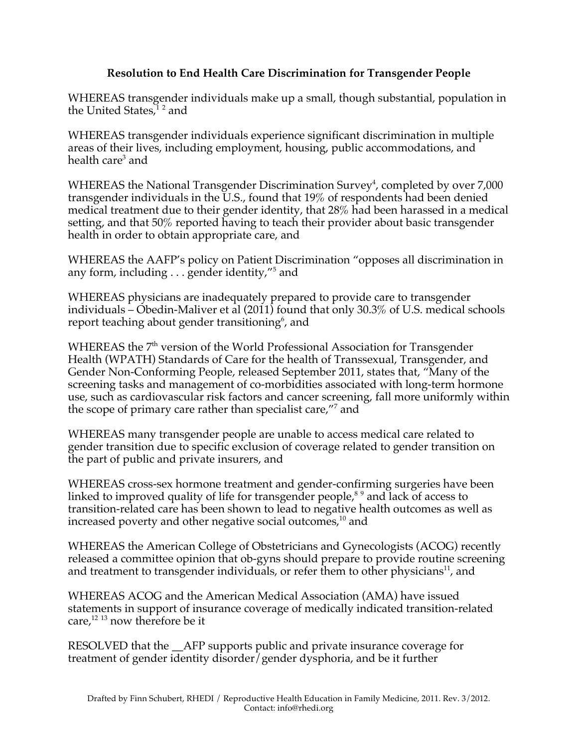## **Resolution to End Health Care Discrimination for Transgender People**

WHEREAS transgender individuals make up a small, though substantial, population in the United States,<sup>12</sup> and

WHEREAS transgender individuals experience significant discrimination in multiple areas of their lives, including employment, housing, public accommodations, and health care<sup>3</sup> and

WHEREAS the National Transgender Discrimination Survey<sup>4</sup>, completed by over  $7,000$ transgender individuals in the U.S., found that 19% of respondents had been denied medical treatment due to their gender identity, that 28% had been harassed in a medical setting, and that 50% reported having to teach their provider about basic transgender health in order to obtain appropriate care, and

WHEREAS the AAFP's policy on Patient Discrimination "opposes all discrimination in any form, including  $\ldots$  gender identity,"<sup>5</sup> and

WHEREAS physicians are inadequately prepared to provide care to transgender individuals – Obedin-Maliver et al (2011) found that only 30.3% of U.S. medical schools report teaching about gender transitioning $^6$ , and

WHEREAS the 7<sup>th</sup> version of the World Professional Association for Transgender Health (WPATH) Standards of Care for the health of Transsexual, Transgender, and Gender Non-Conforming People, released September 2011, states that, "Many of the screening tasks and management of co-morbidities associated with long-term hormone use, such as cardiovascular risk factors and cancer screening, fall more uniformly within the scope of primary care rather than specialist care,"<sup>7</sup> and

WHEREAS many transgender people are unable to access medical care related to gender transition due to specific exclusion of coverage related to gender transition on the part of public and private insurers, and

WHEREAS cross-sex hormone treatment and gender-confirming surgeries have been linked to improved quality of life for transgender people, $8^9$  and lack of access to transition-related care has been shown to lead to negative health outcomes as well as increased poverty and other negative social outcomes, $^{\rm 10}$  and

WHEREAS the American College of Obstetricians and Gynecologists (ACOG) recently released a committee opinion that ob-gyns should prepare to provide routine screening and treatment to transgender individuals, or refer them to other physicians<sup>11</sup>, and

WHEREAS ACOG and the American Medical Association (AMA) have issued statements in support of insurance coverage of medically indicated transition-related care, $^{12}$  13 now therefore be it

RESOLVED that the \_\_AFP supports public and private insurance coverage for treatment of gender identity disorder/gender dysphoria, and be it further